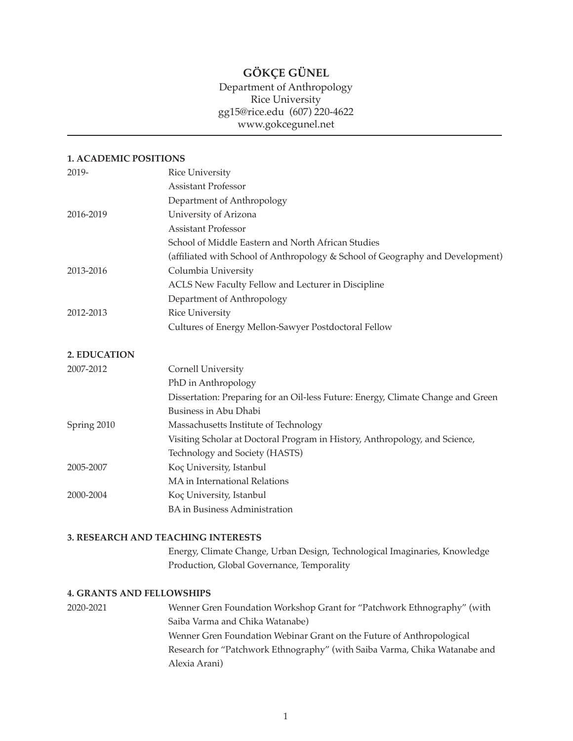# **GÖKÇE GÜNEL**

# Department of Anthropology Rice University gg15@rice.edu (607) 220-4622 www.gokcegunel.net

#### **1. ACADEMIC POSITIONS**

| 2019-        | <b>Rice University</b>                                                           |
|--------------|----------------------------------------------------------------------------------|
|              | <b>Assistant Professor</b>                                                       |
|              | Department of Anthropology                                                       |
| 2016-2019    | University of Arizona                                                            |
|              | <b>Assistant Professor</b>                                                       |
|              | School of Middle Eastern and North African Studies                               |
|              | (affiliated with School of Anthropology & School of Geography and Development)   |
| 2013-2016    | Columbia University                                                              |
|              | ACLS New Faculty Fellow and Lecturer in Discipline                               |
|              | Department of Anthropology                                                       |
| 2012-2013    | <b>Rice University</b>                                                           |
|              | Cultures of Energy Mellon-Sawyer Postdoctoral Fellow                             |
| 2. EDUCATION |                                                                                  |
| 2007-2012    | Cornell University                                                               |
|              | PhD in Anthropology                                                              |
|              | Dissertation: Preparing for an Oil-less Future: Energy, Climate Change and Green |
|              | <b>Business in Abu Dhabi</b>                                                     |
| Spring 2010  | Massachusetts Institute of Technology                                            |
|              | Visiting Scholar at Doctoral Program in History, Anthropology, and Science,      |
|              | Technology and Society (HASTS)                                                   |
| 2005-2007    | Koç University, Istanbul                                                         |
|              | MA in International Relations                                                    |
| 2000-2004    | Koç University, Istanbul                                                         |
|              | <b>BA</b> in Business Administration                                             |

## **3. RESEARCH AND TEACHING INTERESTS**

 Energy, Climate Change, Urban Design, Technological Imaginaries, Knowledge Production, Global Governance, Temporality

### **4. GRANTS AND FELLOWSHIPS**

| 2020-2021 | Wenner Gren Foundation Workshop Grant for "Patchwork Ethnography" (with    |
|-----------|----------------------------------------------------------------------------|
|           | Saiba Varma and Chika Watanabe)                                            |
|           | Wenner Gren Foundation Webinar Grant on the Future of Anthropological      |
|           | Research for "Patchwork Ethnography" (with Saiba Varma, Chika Watanabe and |
|           | Alexia Arani)                                                              |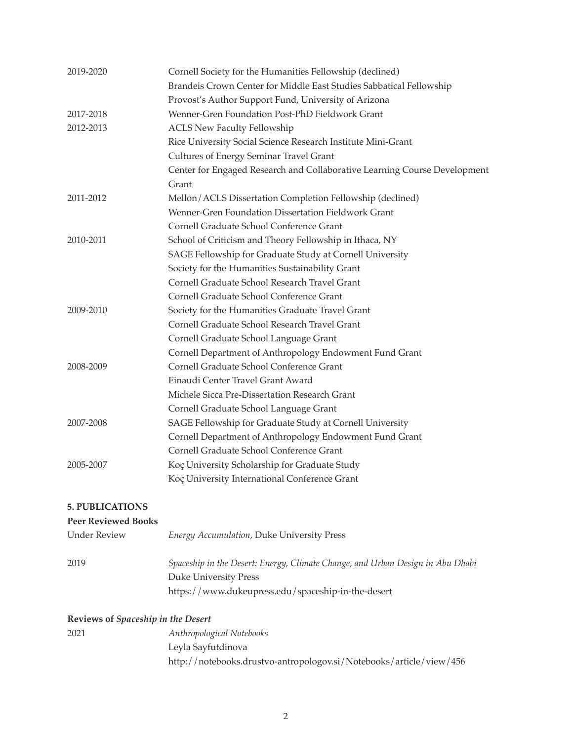| 2019-2020                          | Cornell Society for the Humanities Fellowship (declined)<br>Brandeis Crown Center for Middle East Studies Sabbatical Fellowship |
|------------------------------------|---------------------------------------------------------------------------------------------------------------------------------|
|                                    | Provost's Author Support Fund, University of Arizona                                                                            |
| 2017-2018                          | Wenner-Gren Foundation Post-PhD Fieldwork Grant                                                                                 |
| 2012-2013                          | <b>ACLS New Faculty Fellowship</b>                                                                                              |
|                                    | Rice University Social Science Research Institute Mini-Grant                                                                    |
|                                    | <b>Cultures of Energy Seminar Travel Grant</b>                                                                                  |
|                                    |                                                                                                                                 |
|                                    | Center for Engaged Research and Collaborative Learning Course Development<br>Grant                                              |
| 2011-2012                          | Mellon/ACLS Dissertation Completion Fellowship (declined)                                                                       |
|                                    | Wenner-Gren Foundation Dissertation Fieldwork Grant                                                                             |
|                                    | Cornell Graduate School Conference Grant                                                                                        |
| 2010-2011                          | School of Criticism and Theory Fellowship in Ithaca, NY                                                                         |
|                                    | SAGE Fellowship for Graduate Study at Cornell University                                                                        |
|                                    | Society for the Humanities Sustainability Grant                                                                                 |
|                                    | Cornell Graduate School Research Travel Grant                                                                                   |
|                                    | Cornell Graduate School Conference Grant                                                                                        |
| 2009-2010                          | Society for the Humanities Graduate Travel Grant                                                                                |
|                                    | Cornell Graduate School Research Travel Grant                                                                                   |
|                                    | Cornell Graduate School Language Grant                                                                                          |
|                                    | Cornell Department of Anthropology Endowment Fund Grant                                                                         |
| 2008-2009                          | Cornell Graduate School Conference Grant                                                                                        |
|                                    | Einaudi Center Travel Grant Award                                                                                               |
|                                    | Michele Sicca Pre-Dissertation Research Grant                                                                                   |
|                                    | Cornell Graduate School Language Grant                                                                                          |
| 2007-2008                          | SAGE Fellowship for Graduate Study at Cornell University                                                                        |
|                                    | Cornell Department of Anthropology Endowment Fund Grant                                                                         |
|                                    | Cornell Graduate School Conference Grant                                                                                        |
| 2005-2007                          | Koç University Scholarship for Graduate Study                                                                                   |
|                                    | Koç University International Conference Grant                                                                                   |
| <b>5. PUBLICATIONS</b>             |                                                                                                                                 |
| <b>Peer Reviewed Books</b>         |                                                                                                                                 |
| <b>Under Review</b>                | <b>Energy Accumulation, Duke University Press</b>                                                                               |
| 2019                               | Spaceship in the Desert: Energy, Climate Change, and Urban Design in Abu Dhabi                                                  |
|                                    | <b>Duke University Press</b>                                                                                                    |
|                                    | https://www.dukeupress.edu/spaceship-in-the-desert                                                                              |
| Reviews of Spaceship in the Desert |                                                                                                                                 |

| 2021 | Anthropological Notebooks                                           |
|------|---------------------------------------------------------------------|
|      | Leyla Sayfutdinova                                                  |
|      | http://notebooks.drustvo-antropologov.si/Notebooks/article/view/456 |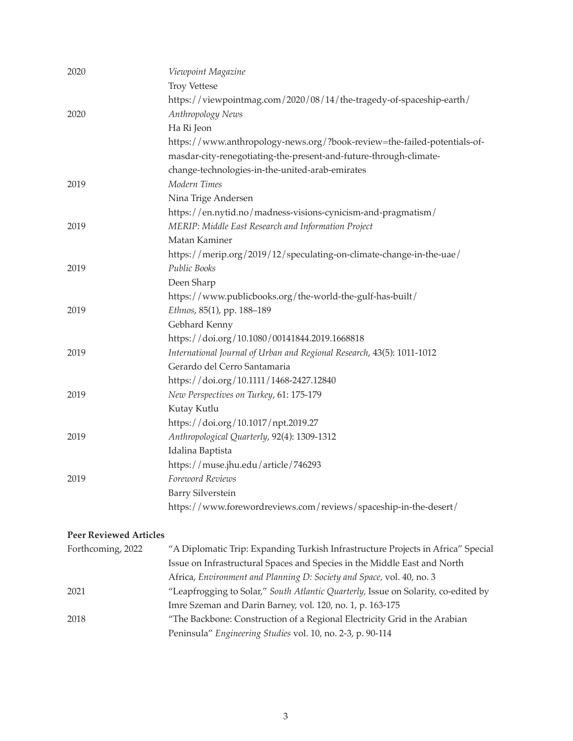| 2020 | Viewpoint Magazine                                                       |
|------|--------------------------------------------------------------------------|
|      | <b>Troy Vettese</b>                                                      |
|      | https://viewpointmag.com/2020/08/14/the-tragedy-of-spaceship-earth/      |
| 2020 | Anthropology News                                                        |
|      | Ha Ri Jeon                                                               |
|      | https://www.anthropology-news.org/?book-review=the-failed-potentials-of- |
|      | masdar-city-renegotiating-the-present-and-future-through-climate-        |
|      | change-technologies-in-the-united-arab-emirates                          |
| 2019 | Modern Times                                                             |
|      | Nina Trige Andersen                                                      |
|      | https://en.nytid.no/madness-visions-cynicism-and-pragmatism/             |
| 2019 | MERIP: Middle East Research and Information Project                      |
|      | Matan Kaminer                                                            |
|      | https://merip.org/2019/12/speculating-on-climate-change-in-the-uae/      |
| 2019 | Public Books                                                             |
|      | Deen Sharp                                                               |
|      | https://www.publicbooks.org/the-world-the-gulf-has-built/                |
| 2019 | Ethnos, 85(1), pp. 188-189                                               |
|      | Gebhard Kenny                                                            |
|      | https://doi.org/10.1080/00141844.2019.1668818                            |
| 2019 | International Journal of Urban and Regional Research, 43(5): 1011-1012   |
|      | Gerardo del Cerro Santamaria                                             |
|      | https://doi.org/10.1111/1468-2427.12840                                  |
| 2019 | New Perspectives on Turkey, 61: 175-179                                  |
|      | Kutay Kutlu                                                              |
|      | https://doi.org/10.1017/npt.2019.27                                      |
| 2019 | Anthropological Quarterly, 92(4): 1309-1312                              |
|      | Idalina Baptista                                                         |
|      | https://muse.jhu.edu/article/746293                                      |
| 2019 | Foreword Reviews                                                         |
|      | <b>Barry Silverstein</b>                                                 |
|      | https://www.forewordreviews.com/reviews/spaceship-in-the-desert/         |
|      |                                                                          |

## **Peer Reviewed Articles**

| Forthcoming, 2022 | "A Diplomatic Trip: Expanding Turkish Infrastructure Projects in Africa" Special   |
|-------------------|------------------------------------------------------------------------------------|
|                   | Issue on Infrastructural Spaces and Species in the Middle East and North           |
|                   | Africa, Environment and Planning D: Society and Space, vol. 40, no. 3              |
| 2021              | "Leapfrogging to Solar," South Atlantic Quarterly, Issue on Solarity, co-edited by |
|                   | Imre Szeman and Darin Barney, vol. 120, no. 1, p. 163-175                          |
| 2018              | "The Backbone: Construction of a Regional Electricity Grid in the Arabian          |
|                   | Peninsula" Engineering Studies vol. 10, no. 2-3, p. 90-114                         |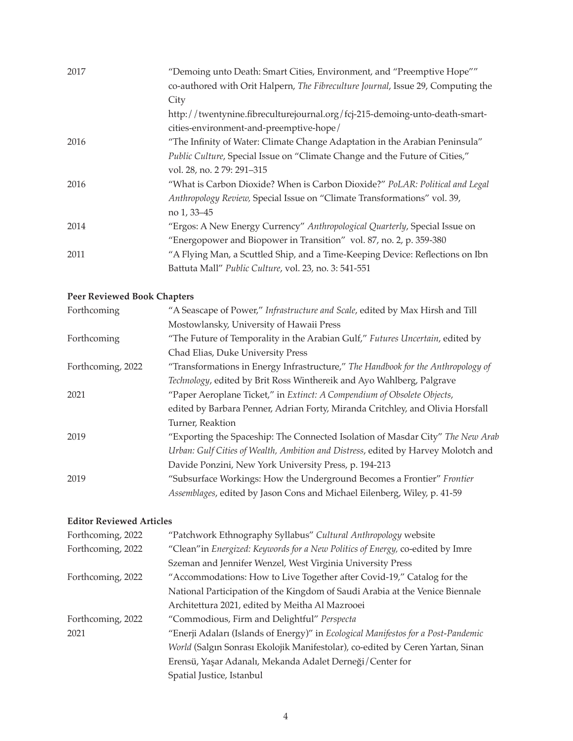| 2017 | "Demoing unto Death: Smart Cities, Environment, and "Preemptive Hope""           |
|------|----------------------------------------------------------------------------------|
|      | co-authored with Orit Halpern, The Fibreculture Journal, Issue 29, Computing the |
|      | City                                                                             |
|      | http://twentynine.fibreculturejournal.org/fcj-215-demoing-unto-death-smart-      |
|      | cities-environment-and-preemptive-hope/                                          |
| 2016 | "The Infinity of Water: Climate Change Adaptation in the Arabian Peninsula"      |
|      | Public Culture, Special Issue on "Climate Change and the Future of Cities,"      |
|      | vol. 28, no. 2 79: 291-315                                                       |
| 2016 | "What is Carbon Dioxide? When is Carbon Dioxide?" PoLAR: Political and Legal     |
|      | Anthropology Review, Special Issue on "Climate Transformations" vol. 39,         |
|      | no 1, 33–45                                                                      |
| 2014 | "Ergos: A New Energy Currency" Anthropological Quarterly, Special Issue on       |
|      | "Energopower and Biopower in Transition" vol. 87, no. 2, p. 359-380              |
| 2011 | "A Flying Man, a Scuttled Ship, and a Time-Keeping Device: Reflections on Ibn    |
|      | Battuta Mall" Public Culture, vol. 23, no. 3: 541-551                            |

# **Peer Reviewed Book Chapters**

| Forthcoming       | "A Seascape of Power," Infrastructure and Scale, edited by Max Hirsh and Till     |
|-------------------|-----------------------------------------------------------------------------------|
|                   | Mostowlansky, University of Hawaii Press                                          |
| Forthcoming       | "The Future of Temporality in the Arabian Gulf," Futures Uncertain, edited by     |
|                   | Chad Elias, Duke University Press                                                 |
| Forthcoming, 2022 | "Transformations in Energy Infrastructure," The Handbook for the Anthropology of  |
|                   | Technology, edited by Brit Ross Winthereik and Ayo Wahlberg, Palgrave             |
| 2021              | "Paper Aeroplane Ticket," in Extinct: A Compendium of Obsolete Objects,           |
|                   | edited by Barbara Penner, Adrian Forty, Miranda Critchley, and Olivia Horsfall    |
|                   | Turner, Reaktion                                                                  |
| 2019              | "Exporting the Spaceship: The Connected Isolation of Masdar City" The New Arab    |
|                   | Urban: Gulf Cities of Wealth, Ambition and Distress, edited by Harvey Molotch and |
|                   | Davide Ponzini, New York University Press, p. 194-213                             |
| 2019              | "Subsurface Workings: How the Underground Becomes a Frontier" Frontier            |
|                   | Assemblages, edited by Jason Cons and Michael Eilenberg, Wiley, p. 41-59          |

# **Editor Reviewed Articles**

| Forthcoming, 2022 | "Patchwork Ethnography Syllabus" Cultural Anthropology website                    |
|-------------------|-----------------------------------------------------------------------------------|
| Forthcoming, 2022 | "Clean" in Energized: Keywords for a New Politics of Energy, co-edited by Imre    |
|                   | Szeman and Jennifer Wenzel, West Virginia University Press                        |
| Forthcoming, 2022 | "Accommodations: How to Live Together after Covid-19," Catalog for the            |
|                   | National Participation of the Kingdom of Saudi Arabia at the Venice Biennale      |
|                   | Architettura 2021, edited by Meitha Al Mazrooei                                   |
| Forthcoming, 2022 | "Commodious, Firm and Delightful" Perspecta                                       |
| 2021              | "Enerji Adaları (Islands of Energy)" in Ecological Manifestos for a Post-Pandemic |
|                   | World (Salgın Sonrası Ekolojik Manifestolar), co-edited by Ceren Yartan, Sinan    |
|                   | Erensü, Yaşar Adanalı, Mekanda Adalet Derneği/Center for                          |
|                   | Spatial Justice, Istanbul                                                         |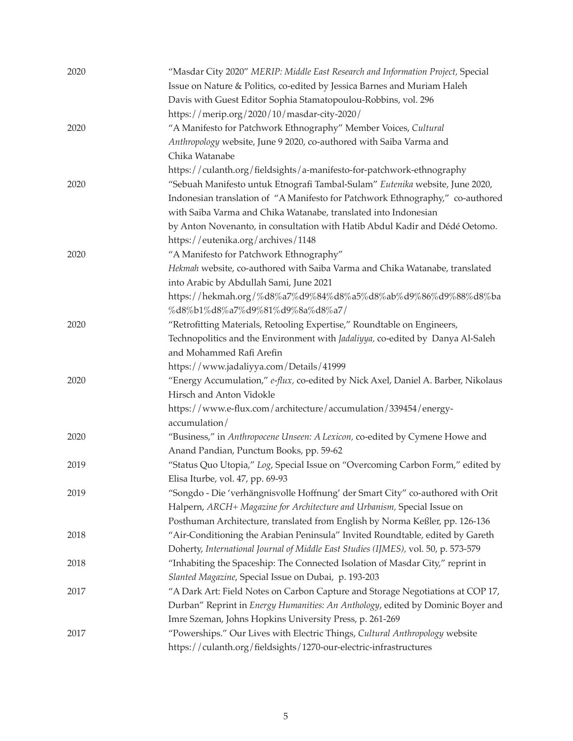| 2020 | "Masdar City 2020" MERIP: Middle East Research and Information Project, Special    |
|------|------------------------------------------------------------------------------------|
|      | Issue on Nature & Politics, co-edited by Jessica Barnes and Muriam Haleh           |
|      | Davis with Guest Editor Sophia Stamatopoulou-Robbins, vol. 296                     |
|      | https://merip.org/2020/10/masdar-city-2020/                                        |
| 2020 | "A Manifesto for Patchwork Ethnography" Member Voices, Cultural                    |
|      | Anthropology website, June 9 2020, co-authored with Saiba Varma and                |
|      | Chika Watanabe                                                                     |
|      | https://culanth.org/fieldsights/a-manifesto-for-patchwork-ethnography              |
| 2020 | "Sebuah Manifesto untuk Etnografi Tambal-Sulam" Eutenika website, June 2020,       |
|      | Indonesian translation of "A Manifesto for Patchwork Ethnography," co-authored     |
|      | with Saiba Varma and Chika Watanabe, translated into Indonesian                    |
|      | by Anton Novenanto, in consultation with Hatib Abdul Kadir and Dédé Oetomo.        |
|      | https://eutenika.org/archives/1148                                                 |
| 2020 | "A Manifesto for Patchwork Ethnography"                                            |
|      | Hekmah website, co-authored with Saiba Varma and Chika Watanabe, translated        |
|      | into Arabic by Abdullah Sami, June 2021                                            |
|      | https://hekmah.org/%d8%a7%d9%84%d8%a5%d8%ab%d9%86%d9%88%d8%ba                      |
|      | %d8%b1%d8%a7%d9%81%d9%8a%d8%a7/                                                    |
| 2020 | "Retrofitting Materials, Retooling Expertise," Roundtable on Engineers,            |
|      | Technopolitics and the Environment with Jadaliyya, co-edited by Danya Al-Saleh     |
|      | and Mohammed Rafi Arefin                                                           |
|      | https://www.jadaliyya.com/Details/41999                                            |
| 2020 | "Energy Accumulation," e-flux, co-edited by Nick Axel, Daniel A. Barber, Nikolaus  |
|      | Hirsch and Anton Vidokle                                                           |
|      | https://www.e-flux.com/architecture/accumulation/339454/energy-                    |
|      | accumulation/                                                                      |
| 2020 | "Business," in Anthropocene Unseen: A Lexicon, co-edited by Cymene Howe and        |
|      | Anand Pandian, Punctum Books, pp. 59-62                                            |
| 2019 | "Status Quo Utopia," Log, Special Issue on "Overcoming Carbon Form," edited by     |
|      | Elisa Iturbe, vol. 47, pp. 69-93                                                   |
| 2019 | "Songdo - Die 'verhängnisvolle Hoffnung' der Smart City" co-authored with Orit     |
|      | Halpern, ARCH+ Magazine for Architecture and Urbanism, Special Issue on            |
|      | Posthuman Architecture, translated from English by Norma Keßler, pp. 126-136       |
| 2018 | "Air-Conditioning the Arabian Peninsula" Invited Roundtable, edited by Gareth      |
|      | Doherty, International Journal of Middle East Studies (IJMES), vol. 50, p. 573-579 |
| 2018 | "Inhabiting the Spaceship: The Connected Isolation of Masdar City," reprint in     |
|      | Slanted Magazine, Special Issue on Dubai, p. 193-203                               |
| 2017 | "A Dark Art: Field Notes on Carbon Capture and Storage Negotiations at COP 17,     |
|      | Durban" Reprint in Energy Humanities: An Anthology, edited by Dominic Boyer and    |
|      | Imre Szeman, Johns Hopkins University Press, p. 261-269                            |
| 2017 | "Powerships." Our Lives with Electric Things, Cultural Anthropology website        |
|      | https://culanth.org/fieldsights/1270-our-electric-infrastructures                  |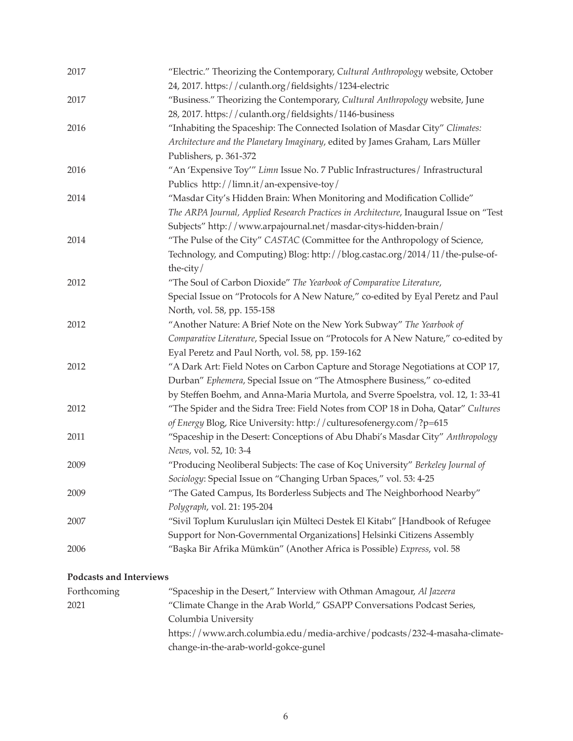| 2017 | "Electric." Theorizing the Contemporary, Cultural Anthropology website, October<br>24, 2017. https://culanth.org/fieldsights/1234-electric |
|------|--------------------------------------------------------------------------------------------------------------------------------------------|
| 2017 | "Business." Theorizing the Contemporary, Cultural Anthropology website, June                                                               |
|      | 28, 2017. https://culanth.org/fieldsights/1146-business                                                                                    |
| 2016 | "Inhabiting the Spaceship: The Connected Isolation of Masdar City" Climates:                                                               |
|      | Architecture and the Planetary Imaginary, edited by James Graham, Lars Müller                                                              |
|      | Publishers, p. 361-372                                                                                                                     |
| 2016 | "An 'Expensive Toy'" Limn Issue No. 7 Public Infrastructures/ Infrastructural                                                              |
|      | Publics http://limn.it/an-expensive-toy/                                                                                                   |
| 2014 | "Masdar City's Hidden Brain: When Monitoring and Modification Collide"                                                                     |
|      | The ARPA Journal, Applied Research Practices in Architecture, Inaugural Issue on "Test                                                     |
|      | Subjects" http://www.arpajournal.net/masdar-citys-hidden-brain/                                                                            |
| 2014 | "The Pulse of the City" CASTAC (Committee for the Anthropology of Science,                                                                 |
|      | Technology, and Computing) Blog: http://blog.castac.org/2014/11/the-pulse-of-                                                              |
|      | the-city/                                                                                                                                  |
| 2012 | "The Soul of Carbon Dioxide" The Yearbook of Comparative Literature,                                                                       |
|      | Special Issue on "Protocols for A New Nature," co-edited by Eyal Peretz and Paul                                                           |
|      | North, vol. 58, pp. 155-158                                                                                                                |
| 2012 | "Another Nature: A Brief Note on the New York Subway" The Yearbook of                                                                      |
|      | Comparative Literature, Special Issue on "Protocols for A New Nature," co-edited by                                                        |
|      | Eyal Peretz and Paul North, vol. 58, pp. 159-162                                                                                           |
| 2012 | "A Dark Art: Field Notes on Carbon Capture and Storage Negotiations at COP 17,                                                             |
|      | Durban" Ephemera, Special Issue on "The Atmosphere Business," co-edited                                                                    |
|      | by Steffen Boehm, and Anna-Maria Murtola, and Sverre Spoelstra, vol. 12, 1: 33-41                                                          |
| 2012 | "The Spider and the Sidra Tree: Field Notes from COP 18 in Doha, Qatar" Cultures                                                           |
|      | of Energy Blog, Rice University: http://culturesofenergy.com/?p=615                                                                        |
| 2011 | "Spaceship in the Desert: Conceptions of Abu Dhabi's Masdar City" Anthropology                                                             |
|      | News, vol. 52, 10: 3-4                                                                                                                     |
| 2009 | "Producing Neoliberal Subjects: The case of Koç University" Berkeley Journal of                                                            |
|      | Sociology: Special Issue on "Changing Urban Spaces," vol. 53: 4-25                                                                         |
| 2009 | "The Gated Campus, Its Borderless Subjects and The Neighborhood Nearby"                                                                    |
|      | Polygraph, vol. 21: 195-204                                                                                                                |
| 2007 | "Sivil Toplum Kurulusları için Mülteci Destek El Kitabı" [Handbook of Refugee                                                              |
|      | Support for Non-Governmental Organizations] Helsinki Citizens Assembly                                                                     |
| 2006 | "Başka Bir Afrika Mümkün" (Another Africa is Possible) Express, vol. 58                                                                    |
|      |                                                                                                                                            |

# **Podcasts and Interviews**

| Forthcoming | "Spaceship in the Desert," Interview with Othman Amagour, Al Jazeera       |
|-------------|----------------------------------------------------------------------------|
| 2021        | "Climate Change in the Arab World," GSAPP Conversations Podcast Series,    |
|             | Columbia University                                                        |
|             | https://www.arch.columbia.edu/media-archive/podcasts/232-4-masaha-climate- |
|             | change-in-the-arab-world-gokce-gunel                                       |
|             |                                                                            |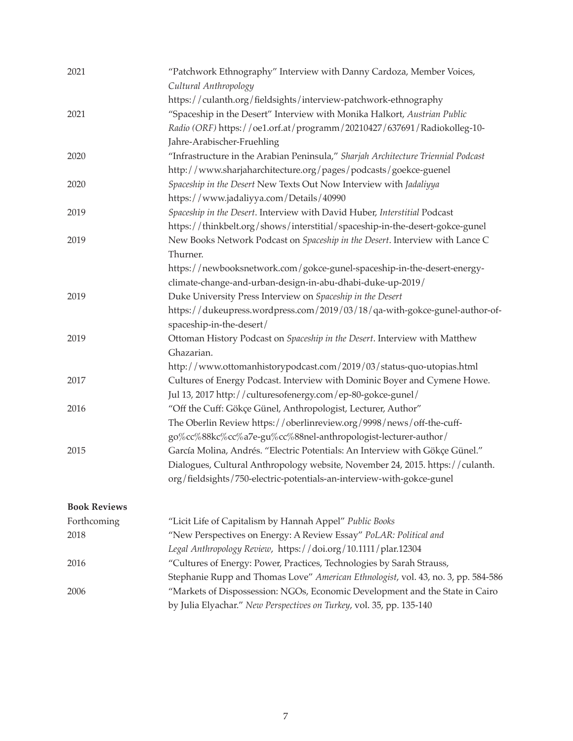| 2021                | "Patchwork Ethnography" Interview with Danny Cardoza, Member Voices,<br>Cultural Anthropology                                                        |
|---------------------|------------------------------------------------------------------------------------------------------------------------------------------------------|
|                     | https://culanth.org/fieldsights/interview-patchwork-ethnography                                                                                      |
| 2021                | "Spaceship in the Desert" Interview with Monika Halkort, Austrian Public                                                                             |
|                     | Radio (ORF) https://oe1.orf.at/programm/20210427/637691/Radiokolleg-10-                                                                              |
|                     | Jahre-Arabischer-Fruehling                                                                                                                           |
| 2020                | "Infrastructure in the Arabian Peninsula," Sharjah Architecture Triennial Podcast                                                                    |
|                     | http://www.sharjaharchitecture.org/pages/podcasts/goekce-guenel                                                                                      |
| 2020                | Spaceship in the Desert New Texts Out Now Interview with Jadaliyya                                                                                   |
|                     | https://www.jadaliyya.com/Details/40990                                                                                                              |
| 2019                | Spaceship in the Desert. Interview with David Huber, Interstitial Podcast                                                                            |
|                     | https://thinkbelt.org/shows/interstitial/spaceship-in-the-desert-gokce-gunel                                                                         |
| 2019                | New Books Network Podcast on Spaceship in the Desert. Interview with Lance C<br>Thurner.                                                             |
|                     | https://newbooksnetwork.com/gokce-gunel-spaceship-in-the-desert-energy-                                                                              |
|                     | climate-change-and-urban-design-in-abu-dhabi-duke-up-2019/                                                                                           |
| 2019                | Duke University Press Interview on Spaceship in the Desert                                                                                           |
|                     | https://dukeupress.wordpress.com/2019/03/18/qa-with-gokce-gunel-author-of-<br>spaceship-in-the-desert/                                               |
| 2019                | Ottoman History Podcast on Spaceship in the Desert. Interview with Matthew                                                                           |
|                     | Ghazarian.                                                                                                                                           |
|                     | http://www.ottomanhistorypodcast.com/2019/03/status-quo-utopias.html                                                                                 |
| 2017                | Cultures of Energy Podcast. Interview with Dominic Boyer and Cymene Howe.                                                                            |
|                     | Jul 13, 2017 http://culturesofenergy.com/ep-80-gokce-gunel/                                                                                          |
| 2016                | "Off the Cuff: Gökçe Günel, Anthropologist, Lecturer, Author"                                                                                        |
|                     | The Oberlin Review https://oberlinreview.org/9998/news/off-the-cuff-                                                                                 |
|                     | go%cc%88kc%cc%a7e-gu%cc%88nel-anthropologist-lecturer-author/                                                                                        |
| 2015                | García Molina, Andrés. "Electric Potentials: An Interview with Gökçe Günel."                                                                         |
|                     | Dialogues, Cultural Anthropology website, November 24, 2015. https://culanth.                                                                        |
|                     | org/fieldsights/750-electric-potentials-an-interview-with-gokce-gunel                                                                                |
| <b>Book Reviews</b> |                                                                                                                                                      |
| Forthcoming         | "Licit Life of Capitalism by Hannah Appel" Public Books                                                                                              |
| 2018                | "New Perspectives on Energy: A Review Essay" PoLAR: Political and                                                                                    |
|                     | Legal Anthropology Review, https://doi.org/10.1111/plar.12304                                                                                        |
| 2016                | "Cultures of Energy: Power, Practices, Technologies by Sarah Strauss,                                                                                |
|                     | Stephanie Rupp and Thomas Love" American Ethnologist, vol. 43, no. 3, pp. 584-586                                                                    |
| 2006                | "Markets of Dispossession: NGOs, Economic Development and the State in Cairo<br>by Julia Elyachar." New Perspectives on Turkey, vol. 35, pp. 135-140 |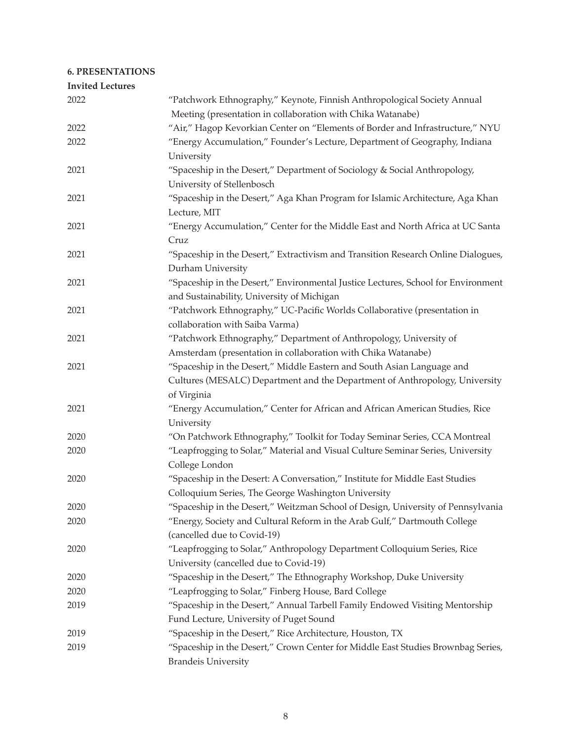# **6. PRESENTATIONS**

| <b>Invited Lectures</b> |                                                                                   |
|-------------------------|-----------------------------------------------------------------------------------|
| 2022                    | "Patchwork Ethnography," Keynote, Finnish Anthropological Society Annual          |
|                         | Meeting (presentation in collaboration with Chika Watanabe)                       |
| 2022                    | "Air," Hagop Kevorkian Center on "Elements of Border and Infrastructure," NYU     |
| 2022                    | "Energy Accumulation," Founder's Lecture, Department of Geography, Indiana        |
|                         | University                                                                        |
| 2021                    | "Spaceship in the Desert," Department of Sociology & Social Anthropology,         |
|                         | University of Stellenbosch                                                        |
| 2021                    | "Spaceship in the Desert," Aga Khan Program for Islamic Architecture, Aga Khan    |
|                         | Lecture, MIT                                                                      |
| 2021                    | "Energy Accumulation," Center for the Middle East and North Africa at UC Santa    |
|                         | Cruz                                                                              |
| 2021                    | "Spaceship in the Desert," Extractivism and Transition Research Online Dialogues, |
|                         | Durham University                                                                 |
| 2021                    | "Spaceship in the Desert," Environmental Justice Lectures, School for Environment |
|                         | and Sustainability, University of Michigan                                        |
| 2021                    | "Patchwork Ethnography," UC-Pacific Worlds Collaborative (presentation in         |
|                         | collaboration with Saiba Varma)                                                   |
| 2021                    | "Patchwork Ethnography," Department of Anthropology, University of                |
|                         | Amsterdam (presentation in collaboration with Chika Watanabe)                     |
| 2021                    | "Spaceship in the Desert," Middle Eastern and South Asian Language and            |
|                         | Cultures (MESALC) Department and the Department of Anthropology, University       |
|                         | of Virginia                                                                       |
| 2021                    | "Energy Accumulation," Center for African and African American Studies, Rice      |
|                         | University                                                                        |
| 2020                    | "On Patchwork Ethnography," Toolkit for Today Seminar Series, CCA Montreal        |
| 2020                    | "Leapfrogging to Solar," Material and Visual Culture Seminar Series, University   |
|                         | College London                                                                    |
| 2020                    | "Spaceship in the Desert: A Conversation," Institute for Middle East Studies      |
|                         | Colloquium Series, The George Washington University                               |
| 2020                    | "Spaceship in the Desert," Weitzman School of Design, University of Pennsylvania  |
| 2020                    | "Energy, Society and Cultural Reform in the Arab Gulf," Dartmouth College         |
|                         | (cancelled due to Covid-19)                                                       |
| 2020                    | "Leapfrogging to Solar," Anthropology Department Colloquium Series, Rice          |
|                         | University (cancelled due to Covid-19)                                            |
| 2020                    | "Spaceship in the Desert," The Ethnography Workshop, Duke University              |
| 2020                    | "Leapfrogging to Solar," Finberg House, Bard College                              |
| 2019                    | "Spaceship in the Desert," Annual Tarbell Family Endowed Visiting Mentorship      |
|                         | Fund Lecture, University of Puget Sound                                           |
| 2019                    | "Spaceship in the Desert," Rice Architecture, Houston, TX                         |
| 2019                    | "Spaceship in the Desert," Crown Center for Middle East Studies Brownbag Series,  |
|                         | <b>Brandeis University</b>                                                        |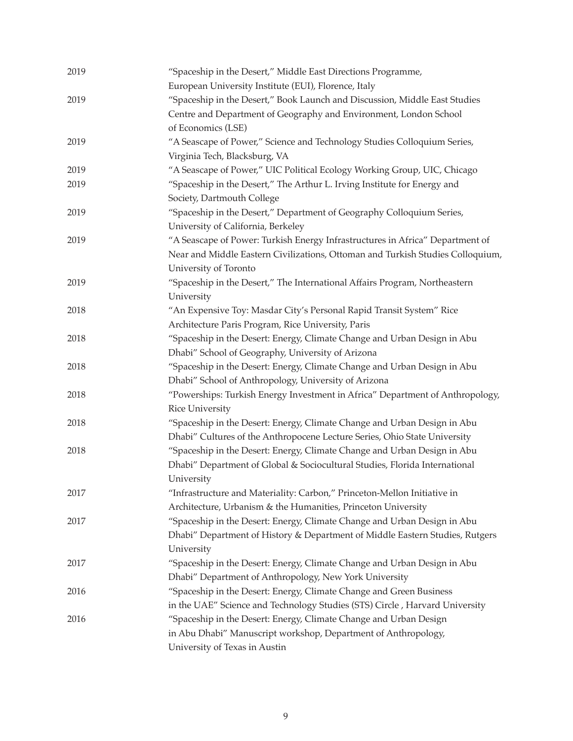| 2019 | "Spaceship in the Desert," Middle East Directions Programme,<br>European University Institute (EUI), Florence, Italy |
|------|----------------------------------------------------------------------------------------------------------------------|
| 2019 | "Spaceship in the Desert," Book Launch and Discussion, Middle East Studies                                           |
|      | Centre and Department of Geography and Environment, London School                                                    |
|      | of Economics (LSE)                                                                                                   |
| 2019 | "A Seascape of Power," Science and Technology Studies Colloquium Series,                                             |
|      | Virginia Tech, Blacksburg, VA                                                                                        |
| 2019 | "A Seascape of Power," UIC Political Ecology Working Group, UIC, Chicago                                             |
| 2019 | "Spaceship in the Desert," The Arthur L. Irving Institute for Energy and                                             |
|      | Society, Dartmouth College                                                                                           |
| 2019 | "Spaceship in the Desert," Department of Geography Colloquium Series,                                                |
|      | University of California, Berkeley                                                                                   |
| 2019 | "A Seascape of Power: Turkish Energy Infrastructures in Africa" Department of                                        |
|      | Near and Middle Eastern Civilizations, Ottoman and Turkish Studies Colloquium,                                       |
|      | University of Toronto                                                                                                |
| 2019 | "Spaceship in the Desert," The International Affairs Program, Northeastern                                           |
|      | University                                                                                                           |
| 2018 | "An Expensive Toy: Masdar City's Personal Rapid Transit System" Rice                                                 |
|      | Architecture Paris Program, Rice University, Paris                                                                   |
| 2018 | "Spaceship in the Desert: Energy, Climate Change and Urban Design in Abu                                             |
|      | Dhabi" School of Geography, University of Arizona                                                                    |
| 2018 | "Spaceship in the Desert: Energy, Climate Change and Urban Design in Abu                                             |
|      | Dhabi" School of Anthropology, University of Arizona                                                                 |
| 2018 | "Powerships: Turkish Energy Investment in Africa" Department of Anthropology,                                        |
|      | <b>Rice University</b>                                                                                               |
| 2018 | "Spaceship in the Desert: Energy, Climate Change and Urban Design in Abu                                             |
|      | Dhabi" Cultures of the Anthropocene Lecture Series, Ohio State University                                            |
| 2018 | "Spaceship in the Desert: Energy, Climate Change and Urban Design in Abu                                             |
|      | Dhabi" Department of Global & Sociocultural Studies, Florida International                                           |
|      | University                                                                                                           |
| 2017 | "Infrastructure and Materiality: Carbon," Princeton-Mellon Initiative in                                             |
|      | Architecture, Urbanism & the Humanities, Princeton University                                                        |
| 2017 | "Spaceship in the Desert: Energy, Climate Change and Urban Design in Abu                                             |
|      | Dhabi" Department of History & Department of Middle Eastern Studies, Rutgers                                         |
|      | University                                                                                                           |
| 2017 | "Spaceship in the Desert: Energy, Climate Change and Urban Design in Abu                                             |
|      | Dhabi" Department of Anthropology, New York University                                                               |
| 2016 | "Spaceship in the Desert: Energy, Climate Change and Green Business                                                  |
|      | in the UAE" Science and Technology Studies (STS) Circle, Harvard University                                          |
| 2016 | "Spaceship in the Desert: Energy, Climate Change and Urban Design                                                    |
|      | in Abu Dhabi" Manuscript workshop, Department of Anthropology,                                                       |
|      | University of Texas in Austin                                                                                        |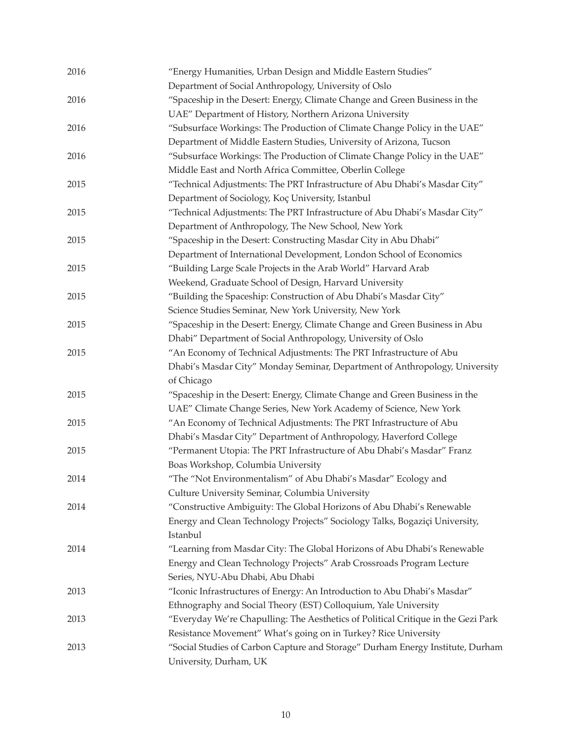| 2016 | "Energy Humanities, Urban Design and Middle Eastern Studies"<br>Department of Social Anthropology, University of Oslo |
|------|-----------------------------------------------------------------------------------------------------------------------|
| 2016 | "Spaceship in the Desert: Energy, Climate Change and Green Business in the                                            |
|      | UAE" Department of History, Northern Arizona University                                                               |
| 2016 | "Subsurface Workings: The Production of Climate Change Policy in the UAE"                                             |
|      | Department of Middle Eastern Studies, University of Arizona, Tucson                                                   |
| 2016 | "Subsurface Workings: The Production of Climate Change Policy in the UAE"                                             |
|      | Middle East and North Africa Committee, Oberlin College                                                               |
| 2015 | "Technical Adjustments: The PRT Infrastructure of Abu Dhabi's Masdar City"                                            |
|      | Department of Sociology, Koç University, Istanbul                                                                     |
| 2015 | "Technical Adjustments: The PRT Infrastructure of Abu Dhabi's Masdar City"                                            |
|      | Department of Anthropology, The New School, New York                                                                  |
| 2015 | "Spaceship in the Desert: Constructing Masdar City in Abu Dhabi"                                                      |
|      | Department of International Development, London School of Economics                                                   |
| 2015 | "Building Large Scale Projects in the Arab World" Harvard Arab                                                        |
|      | Weekend, Graduate School of Design, Harvard University                                                                |
| 2015 | "Building the Spaceship: Construction of Abu Dhabi's Masdar City"                                                     |
|      | Science Studies Seminar, New York University, New York                                                                |
| 2015 | "Spaceship in the Desert: Energy, Climate Change and Green Business in Abu                                            |
|      | Dhabi" Department of Social Anthropology, University of Oslo                                                          |
| 2015 | "An Economy of Technical Adjustments: The PRT Infrastructure of Abu                                                   |
|      | Dhabi's Masdar City" Monday Seminar, Department of Anthropology, University                                           |
|      | of Chicago                                                                                                            |
| 2015 | "Spaceship in the Desert: Energy, Climate Change and Green Business in the                                            |
|      | UAE" Climate Change Series, New York Academy of Science, New York                                                     |
| 2015 | "An Economy of Technical Adjustments: The PRT Infrastructure of Abu                                                   |
|      | Dhabi's Masdar City" Department of Anthropology, Haverford College                                                    |
| 2015 | "Permanent Utopia: The PRT Infrastructure of Abu Dhabi's Masdar" Franz                                                |
|      | Boas Workshop, Columbia University                                                                                    |
| 2014 | "The "Not Environmentalism" of Abu Dhabi's Masdar" Ecology and                                                        |
|      | Culture University Seminar, Columbia University                                                                       |
| 2014 | "Constructive Ambiguity: The Global Horizons of Abu Dhabi's Renewable                                                 |
|      | Energy and Clean Technology Projects" Sociology Talks, Bogaziçi University,                                           |
|      | Istanbul                                                                                                              |
| 2014 | "Learning from Masdar City: The Global Horizons of Abu Dhabi's Renewable                                              |
|      | Energy and Clean Technology Projects" Arab Crossroads Program Lecture                                                 |
|      | Series, NYU-Abu Dhabi, Abu Dhabi                                                                                      |
| 2013 | "Iconic Infrastructures of Energy: An Introduction to Abu Dhabi's Masdar"                                             |
|      | Ethnography and Social Theory (EST) Colloquium, Yale University                                                       |
| 2013 | "Everyday We're Chapulling: The Aesthetics of Political Critique in the Gezi Park                                     |
|      | Resistance Movement" What's going on in Turkey? Rice University                                                       |
| 2013 | "Social Studies of Carbon Capture and Storage" Durham Energy Institute, Durham                                        |
|      | University, Durham, UK                                                                                                |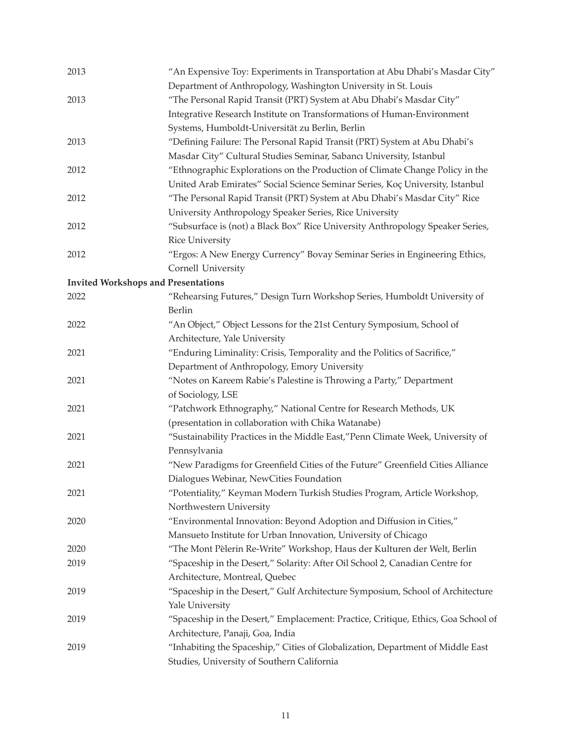| 2013                                       | "An Expensive Toy: Experiments in Transportation at Abu Dhabi's Masdar City"      |
|--------------------------------------------|-----------------------------------------------------------------------------------|
|                                            | Department of Anthropology, Washington University in St. Louis                    |
| 2013                                       | "The Personal Rapid Transit (PRT) System at Abu Dhabi's Masdar City"              |
|                                            | Integrative Research Institute on Transformations of Human-Environment            |
|                                            | Systems, Humboldt-Universität zu Berlin, Berlin                                   |
| 2013                                       | "Defining Failure: The Personal Rapid Transit (PRT) System at Abu Dhabi's         |
|                                            | Masdar City" Cultural Studies Seminar, Sabancı University, Istanbul               |
| 2012                                       | "Ethnographic Explorations on the Production of Climate Change Policy in the      |
|                                            | United Arab Emirates" Social Science Seminar Series, Koç University, Istanbul     |
| 2012                                       | "The Personal Rapid Transit (PRT) System at Abu Dhabi's Masdar City" Rice         |
|                                            | University Anthropology Speaker Series, Rice University                           |
| 2012                                       | "Subsurface is (not) a Black Box" Rice University Anthropology Speaker Series,    |
|                                            | <b>Rice University</b>                                                            |
| 2012                                       | "Ergos: A New Energy Currency" Bovay Seminar Series in Engineering Ethics,        |
|                                            | Cornell University                                                                |
| <b>Invited Workshops and Presentations</b> |                                                                                   |
| 2022                                       | "Rehearsing Futures," Design Turn Workshop Series, Humboldt University of         |
|                                            | <b>Berlin</b>                                                                     |
| 2022                                       | "An Object," Object Lessons for the 21st Century Symposium, School of             |
|                                            | Architecture, Yale University                                                     |
| 2021                                       | "Enduring Liminality: Crisis, Temporality and the Politics of Sacrifice,"         |
|                                            | Department of Anthropology, Emory University                                      |
| 2021                                       | "Notes on Kareem Rabie's Palestine is Throwing a Party," Department               |
|                                            | of Sociology, LSE                                                                 |
| 2021                                       | "Patchwork Ethnography," National Centre for Research Methods, UK                 |
|                                            | (presentation in collaboration with Chika Watanabe)                               |
| 2021                                       | "Sustainability Practices in the Middle East,"Penn Climate Week, University of    |
|                                            | Pennsylvania                                                                      |
| 2021                                       | "New Paradigms for Greenfield Cities of the Future" Greenfield Cities Alliance    |
|                                            | Dialogues Webinar, NewCities Foundation                                           |
| 2021                                       | "Potentiality," Keyman Modern Turkish Studies Program, Article Workshop,          |
|                                            | Northwestern University                                                           |
| 2020                                       | "Environmental Innovation: Beyond Adoption and Diffusion in Cities,"              |
|                                            | Mansueto Institute for Urban Innovation, University of Chicago                    |
| 2020                                       | "The Mont Pèlerin Re-Write" Workshop, Haus der Kulturen der Welt, Berlin          |
| 2019                                       | "Spaceship in the Desert," Solarity: After Oil School 2, Canadian Centre for      |
|                                            | Architecture, Montreal, Quebec                                                    |
| 2019                                       | "Spaceship in the Desert," Gulf Architecture Symposium, School of Architecture    |
|                                            | Yale University                                                                   |
| 2019                                       | "Spaceship in the Desert," Emplacement: Practice, Critique, Ethics, Goa School of |
|                                            | Architecture, Panaji, Goa, India                                                  |
| 2019                                       | "Inhabiting the Spaceship," Cities of Globalization, Department of Middle East    |
|                                            | Studies, University of Southern California                                        |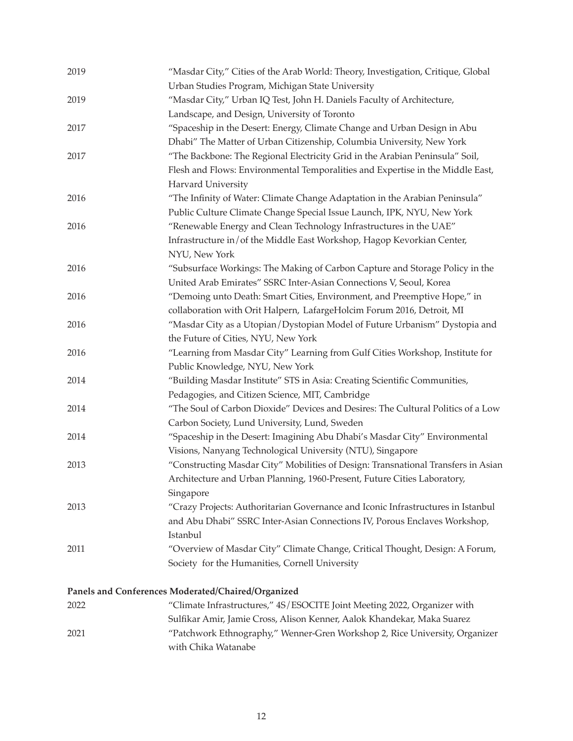| 2019 | "Masdar City," Cities of the Arab World: Theory, Investigation, Critique, Global<br>Urban Studies Program, Michigan State University |
|------|--------------------------------------------------------------------------------------------------------------------------------------|
| 2019 | "Masdar City," Urban IQ Test, John H. Daniels Faculty of Architecture,                                                               |
|      | Landscape, and Design, University of Toronto                                                                                         |
| 2017 | "Spaceship in the Desert: Energy, Climate Change and Urban Design in Abu                                                             |
|      | Dhabi" The Matter of Urban Citizenship, Columbia University, New York                                                                |
| 2017 | "The Backbone: The Regional Electricity Grid in the Arabian Peninsula" Soil,                                                         |
|      | Flesh and Flows: Environmental Temporalities and Expertise in the Middle East,                                                       |
|      | Harvard University                                                                                                                   |
| 2016 | "The Infinity of Water: Climate Change Adaptation in the Arabian Peninsula"                                                          |
|      | Public Culture Climate Change Special Issue Launch, IPK, NYU, New York                                                               |
| 2016 | "Renewable Energy and Clean Technology Infrastructures in the UAE"                                                                   |
|      | Infrastructure in/of the Middle East Workshop, Hagop Kevorkian Center,                                                               |
|      | NYU, New York                                                                                                                        |
| 2016 | "Subsurface Workings: The Making of Carbon Capture and Storage Policy in the                                                         |
|      | United Arab Emirates" SSRC Inter-Asian Connections V, Seoul, Korea                                                                   |
| 2016 | "Demoing unto Death: Smart Cities, Environment, and Preemptive Hope," in                                                             |
|      | collaboration with Orit Halpern, LafargeHolcim Forum 2016, Detroit, MI                                                               |
| 2016 | "Masdar City as a Utopian/Dystopian Model of Future Urbanism" Dystopia and                                                           |
|      | the Future of Cities, NYU, New York                                                                                                  |
| 2016 | "Learning from Masdar City" Learning from Gulf Cities Workshop, Institute for                                                        |
|      | Public Knowledge, NYU, New York                                                                                                      |
| 2014 | "Building Masdar Institute" STS in Asia: Creating Scientific Communities,                                                            |
|      | Pedagogies, and Citizen Science, MIT, Cambridge                                                                                      |
| 2014 | "The Soul of Carbon Dioxide" Devices and Desires: The Cultural Politics of a Low                                                     |
|      | Carbon Society, Lund University, Lund, Sweden                                                                                        |
| 2014 | "Spaceship in the Desert: Imagining Abu Dhabi's Masdar City" Environmental                                                           |
|      | Visions, Nanyang Technological University (NTU), Singapore                                                                           |
| 2013 | "Constructing Masdar City" Mobilities of Design: Transnational Transfers in Asian                                                    |
|      | Architecture and Urban Planning, 1960-Present, Future Cities Laboratory,                                                             |
|      | Singapore                                                                                                                            |
| 2013 | "Crazy Projects: Authoritarian Governance and Iconic Infrastructures in Istanbul                                                     |
|      | and Abu Dhabi" SSRC Inter-Asian Connections IV, Porous Enclaves Workshop,                                                            |
|      | Istanbul                                                                                                                             |
| 2011 | "Overview of Masdar City" Climate Change, Critical Thought, Design: A Forum,                                                         |
|      | Society for the Humanities, Cornell University                                                                                       |
|      | Panels and Conferences Moderated/Chaired/Organized                                                                                   |
| 2022 | "Climate Infrastructures," 4S/ESOCITE Joint Meeting 2022, Organizer with                                                             |
|      | Sulfikar Amir, Jamie Cross, Alison Kenner, Aalok Khandekar, Maka Suarez                                                              |
| 2021 | "Patchwork Ethnography," Wenner-Gren Workshop 2, Rice University, Organizer                                                          |

12

 with Chika Watanabe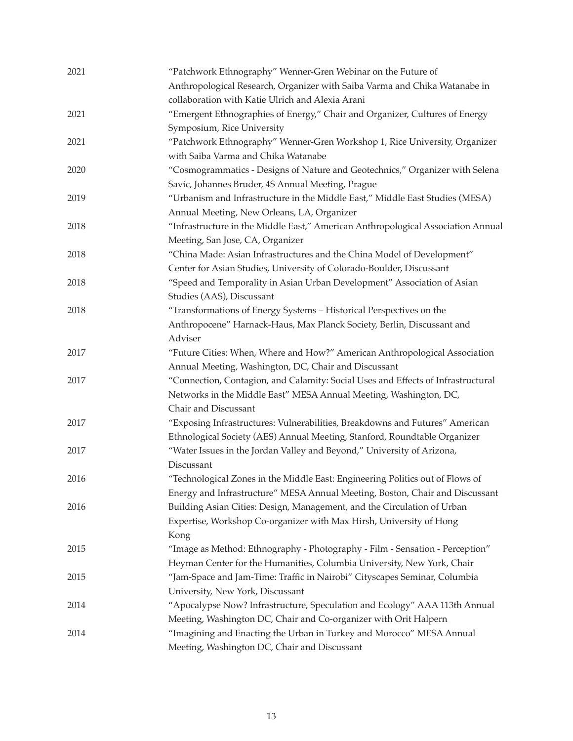| 2021 | "Patchwork Ethnography" Wenner-Gren Webinar on the Future of<br>Anthropological Research, Organizer with Saiba Varma and Chika Watanabe in |
|------|--------------------------------------------------------------------------------------------------------------------------------------------|
|      | collaboration with Katie Ulrich and Alexia Arani                                                                                           |
| 2021 | "Emergent Ethnographies of Energy," Chair and Organizer, Cultures of Energy                                                                |
|      | Symposium, Rice University                                                                                                                 |
| 2021 | "Patchwork Ethnography" Wenner-Gren Workshop 1, Rice University, Organizer                                                                 |
|      | with Saiba Varma and Chika Watanabe                                                                                                        |
| 2020 | "Cosmogrammatics - Designs of Nature and Geotechnics," Organizer with Selena                                                               |
|      | Savic, Johannes Bruder, 4S Annual Meeting, Prague                                                                                          |
| 2019 | "Urbanism and Infrastructure in the Middle East," Middle East Studies (MESA)                                                               |
|      | Annual Meeting, New Orleans, LA, Organizer                                                                                                 |
| 2018 | "Infrastructure in the Middle East," American Anthropological Association Annual                                                           |
|      | Meeting, San Jose, CA, Organizer                                                                                                           |
| 2018 | "China Made: Asian Infrastructures and the China Model of Development"                                                                     |
|      | Center for Asian Studies, University of Colorado-Boulder, Discussant                                                                       |
| 2018 | "Speed and Temporality in Asian Urban Development" Association of Asian                                                                    |
|      | Studies (AAS), Discussant                                                                                                                  |
| 2018 | "Transformations of Energy Systems - Historical Perspectives on the                                                                        |
|      | Anthropocene" Harnack-Haus, Max Planck Society, Berlin, Discussant and                                                                     |
|      | Adviser                                                                                                                                    |
| 2017 | "Future Cities: When, Where and How?" American Anthropological Association                                                                 |
|      | Annual Meeting, Washington, DC, Chair and Discussant                                                                                       |
| 2017 | "Connection, Contagion, and Calamity: Social Uses and Effects of Infrastructural                                                           |
|      | Networks in the Middle East" MESA Annual Meeting, Washington, DC,                                                                          |
|      | Chair and Discussant                                                                                                                       |
| 2017 | "Exposing Infrastructures: Vulnerabilities, Breakdowns and Futures" American                                                               |
|      | Ethnological Society (AES) Annual Meeting, Stanford, Roundtable Organizer                                                                  |
| 2017 | "Water Issues in the Jordan Valley and Beyond," University of Arizona,                                                                     |
|      | Discussant                                                                                                                                 |
| 2016 | "Technological Zones in the Middle East: Engineering Politics out of Flows of                                                              |
|      | Energy and Infrastructure" MESA Annual Meeting, Boston, Chair and Discussant                                                               |
| 2016 | Building Asian Cities: Design, Management, and the Circulation of Urban                                                                    |
|      | Expertise, Workshop Co-organizer with Max Hirsh, University of Hong                                                                        |
|      | Kong                                                                                                                                       |
| 2015 | "Image as Method: Ethnography - Photography - Film - Sensation - Perception"                                                               |
|      | Heyman Center for the Humanities, Columbia University, New York, Chair                                                                     |
| 2015 | "Jam-Space and Jam-Time: Traffic in Nairobi" Cityscapes Seminar, Columbia                                                                  |
|      | University, New York, Discussant                                                                                                           |
| 2014 | "Apocalypse Now? Infrastructure, Speculation and Ecology" AAA 113th Annual                                                                 |
|      | Meeting, Washington DC, Chair and Co-organizer with Orit Halpern                                                                           |
| 2014 | "Imagining and Enacting the Urban in Turkey and Morocco" MESA Annual                                                                       |
|      | Meeting, Washington DC, Chair and Discussant                                                                                               |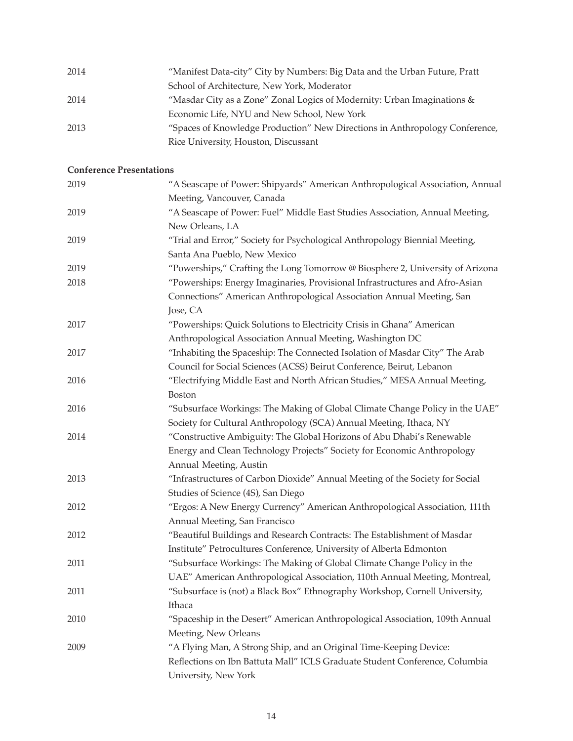| 2014 | "Manifest Data-city" City by Numbers: Big Data and the Urban Future, Pratt  |
|------|-----------------------------------------------------------------------------|
|      | School of Architecture, New York, Moderator                                 |
| 2014 | "Masdar City as a Zone" Zonal Logics of Modernity: Urban Imaginations &     |
|      | Economic Life, NYU and New School, New York                                 |
| 2013 | "Spaces of Knowledge Production" New Directions in Anthropology Conference, |
|      | Rice University, Houston, Discussant                                        |

# **Conference Presentations**

| 2019 | "A Seascape of Power: Shipyards" American Anthropological Association, Annual |
|------|-------------------------------------------------------------------------------|
|      | Meeting, Vancouver, Canada                                                    |
| 2019 | "A Seascape of Power: Fuel" Middle East Studies Association, Annual Meeting,  |
|      | New Orleans, LA                                                               |
| 2019 | "Trial and Error," Society for Psychological Anthropology Biennial Meeting,   |
|      | Santa Ana Pueblo, New Mexico                                                  |
| 2019 | "Powerships," Crafting the Long Tomorrow @ Biosphere 2, University of Arizona |
| 2018 | "Powerships: Energy Imaginaries, Provisional Infrastructures and Afro-Asian   |
|      | Connections" American Anthropological Association Annual Meeting, San         |
|      | Jose, CA                                                                      |
| 2017 | "Powerships: Quick Solutions to Electricity Crisis in Ghana" American         |
|      | Anthropological Association Annual Meeting, Washington DC                     |
| 2017 | "Inhabiting the Spaceship: The Connected Isolation of Masdar City" The Arab   |
|      | Council for Social Sciences (ACSS) Beirut Conference, Beirut, Lebanon         |
| 2016 | "Electrifying Middle East and North African Studies," MESA Annual Meeting,    |
|      | <b>Boston</b>                                                                 |
| 2016 | "Subsurface Workings: The Making of Global Climate Change Policy in the UAE"  |
|      | Society for Cultural Anthropology (SCA) Annual Meeting, Ithaca, NY            |
| 2014 | "Constructive Ambiguity: The Global Horizons of Abu Dhabi's Renewable         |
|      | Energy and Clean Technology Projects" Society for Economic Anthropology       |
|      | Annual Meeting, Austin                                                        |
| 2013 | "Infrastructures of Carbon Dioxide" Annual Meeting of the Society for Social  |
|      | Studies of Science (4S), San Diego                                            |
| 2012 | "Ergos: A New Energy Currency" American Anthropological Association, 111th    |
|      | Annual Meeting, San Francisco                                                 |
| 2012 | "Beautiful Buildings and Research Contracts: The Establishment of Masdar      |
|      | Institute" Petrocultures Conference, University of Alberta Edmonton           |
| 2011 | "Subsurface Workings: The Making of Global Climate Change Policy in the       |
|      | UAE" American Anthropological Association, 110th Annual Meeting, Montreal,    |
| 2011 | "Subsurface is (not) a Black Box" Ethnography Workshop, Cornell University,   |
|      | Ithaca                                                                        |
| 2010 | "Spaceship in the Desert" American Anthropological Association, 109th Annual  |
|      | Meeting, New Orleans                                                          |
| 2009 | "A Flying Man, A Strong Ship, and an Original Time-Keeping Device:            |
|      | Reflections on Ibn Battuta Mall" ICLS Graduate Student Conference, Columbia   |
|      | University, New York                                                          |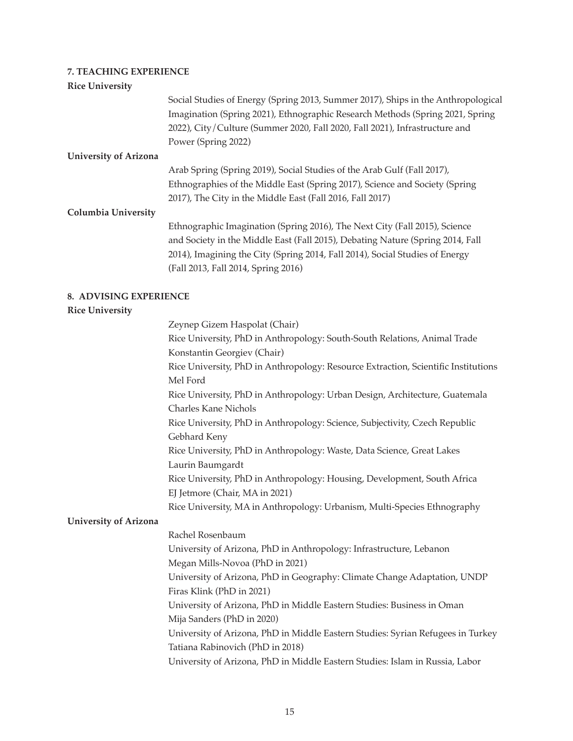### **7. TEACHING EXPERIENCE**

#### **Rice University**

Social Studies of Energy (Spring 2013, Summer 2017), Ships in the Anthropological Imagination (Spring 2021), Ethnographic Research Methods (Spring 2021, Spring 2022), City/Culture (Summer 2020, Fall 2020, Fall 2021), Infrastructure and Power (Spring 2022)

#### **University of Arizona**

Arab Spring (Spring 2019), Social Studies of the Arab Gulf (Fall 2017), Ethnographies of the Middle East (Spring 2017), Science and Society (Spring 2017), The City in the Middle East (Fall 2016, Fall 2017)

#### **Columbia University**

Ethnographic Imagination (Spring 2016), The Next City (Fall 2015), Science and Society in the Middle East (Fall 2015), Debating Nature (Spring 2014, Fall 2014), Imagining the City (Spring 2014, Fall 2014), Social Studies of Energy (Fall 2013, Fall 2014, Spring 2016)

#### **8. ADVISING EXPERIENCE**

#### **Rice University**

 Zeynep Gizem Haspolat (Chair) Rice University, PhD in Anthropology: South-South Relations, Animal Trade Konstantin Georgiev (Chair) Rice University, PhD in Anthropology: Resource Extraction, Scientific Institutions Mel Ford Rice University, PhD in Anthropology: Urban Design, Architecture, Guatemala Charles Kane Nichols Rice University, PhD in Anthropology: Science, Subjectivity, Czech Republic Gebhard Keny Rice University, PhD in Anthropology: Waste, Data Science, Great Lakes Laurin Baumgardt Rice University, PhD in Anthropology: Housing, Development, South Africa EJ Jetmore (Chair, MA in 2021) Rice University, MA in Anthropology: Urbanism, Multi-Species Ethnography

# **University of Arizona**

 Rachel Rosenbaum University of Arizona, PhD in Anthropology: Infrastructure, Lebanon Megan Mills-Novoa (PhD in 2021) University of Arizona, PhD in Geography: Climate Change Adaptation, UNDP Firas Klink (PhD in 2021) University of Arizona, PhD in Middle Eastern Studies: Business in Oman Mija Sanders (PhD in 2020) University of Arizona, PhD in Middle Eastern Studies: Syrian Refugees in Turkey Tatiana Rabinovich (PhD in 2018) University of Arizona, PhD in Middle Eastern Studies: Islam in Russia, Labor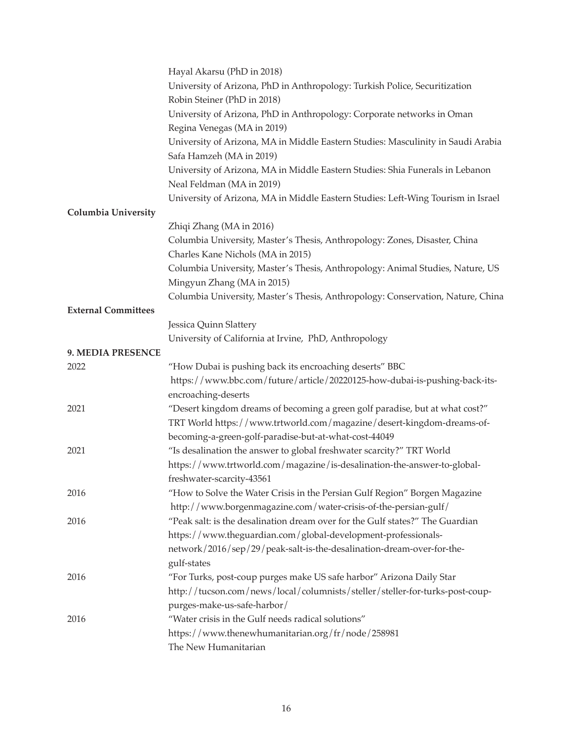|                            | Hayal Akarsu (PhD in 2018)                                                                                 |
|----------------------------|------------------------------------------------------------------------------------------------------------|
|                            | University of Arizona, PhD in Anthropology: Turkish Police, Securitization                                 |
|                            | Robin Steiner (PhD in 2018)                                                                                |
|                            | University of Arizona, PhD in Anthropology: Corporate networks in Oman                                     |
|                            | Regina Venegas (MA in 2019)                                                                                |
|                            | University of Arizona, MA in Middle Eastern Studies: Masculinity in Saudi Arabia                           |
|                            | Safa Hamzeh (MA in 2019)                                                                                   |
|                            | University of Arizona, MA in Middle Eastern Studies: Shia Funerals in Lebanon<br>Neal Feldman (MA in 2019) |
|                            | University of Arizona, MA in Middle Eastern Studies: Left-Wing Tourism in Israel                           |
| <b>Columbia University</b> |                                                                                                            |
|                            | Zhiqi Zhang (MA in 2016)                                                                                   |
|                            | Columbia University, Master's Thesis, Anthropology: Zones, Disaster, China                                 |
|                            | Charles Kane Nichols (MA in 2015)                                                                          |
|                            | Columbia University, Master's Thesis, Anthropology: Animal Studies, Nature, US                             |
|                            | Mingyun Zhang (MA in 2015)                                                                                 |
|                            | Columbia University, Master's Thesis, Anthropology: Conservation, Nature, China                            |
| <b>External Committees</b> |                                                                                                            |
|                            | Jessica Quinn Slattery                                                                                     |
|                            | University of California at Irvine, PhD, Anthropology                                                      |
| 9. MEDIA PRESENCE          |                                                                                                            |
| 2022                       | "How Dubai is pushing back its encroaching deserts" BBC                                                    |
|                            | https://www.bbc.com/future/article/20220125-how-dubai-is-pushing-back-its-                                 |
|                            | encroaching-deserts                                                                                        |
| 2021                       | "Desert kingdom dreams of becoming a green golf paradise, but at what cost?"                               |
|                            | TRT World https://www.trtworld.com/magazine/desert-kingdom-dreams-of-                                      |
|                            | becoming-a-green-golf-paradise-but-at-what-cost-44049                                                      |
| 2021                       | "Is desalination the answer to global freshwater scarcity?" TRT World                                      |
|                            | https://www.trtworld.com/magazine/is-desalination-the-answer-to-global-                                    |
|                            | freshwater-scarcity-43561                                                                                  |
| 2016                       | "How to Solve the Water Crisis in the Persian Gulf Region" Borgen Magazine                                 |
|                            | http://www.borgenmagazine.com/water-crisis-of-the-persian-gulf/                                            |
| 2016                       | "Peak salt: is the desalination dream over for the Gulf states?" The Guardian                              |
|                            | https://www.theguardian.com/global-development-professionals-                                              |
|                            | network/2016/sep/29/peak-salt-is-the-desalination-dream-over-for-the-                                      |
|                            | gulf-states                                                                                                |
| 2016                       | "For Turks, post-coup purges make US safe harbor" Arizona Daily Star                                       |
|                            | http://tucson.com/news/local/columnists/steller/steller-for-turks-post-coup-                               |
|                            | purges-make-us-safe-harbor/                                                                                |
| 2016                       | "Water crisis in the Gulf needs radical solutions"                                                         |
|                            | https://www.thenewhumanitarian.org/fr/node/258981                                                          |
|                            | The New Humanitarian                                                                                       |
|                            |                                                                                                            |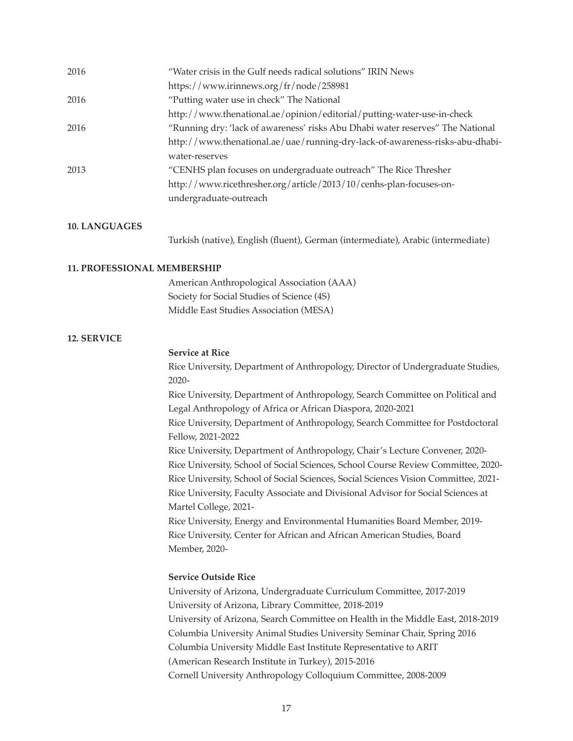| "Water crisis in the Gulf needs radical solutions" IRIN News                   |
|--------------------------------------------------------------------------------|
| https://www.irinnews.org/fr/node/258981                                        |
| "Putting water use in check" The National                                      |
| http://www.thenational.ae/opinion/editorial/putting-water-use-in-check         |
| "Running dry: 'lack of awareness' risks Abu Dhabi water reserves" The National |
| http://www.thenational.ae/uae/running-dry-lack-of-awareness-risks-abu-dhabi-   |
| water-reserves                                                                 |
| "CENHS plan focuses on undergraduate outreach" The Rice Thresher               |
| http://www.ricethresher.org/article/2013/10/cenhs-plan-focuses-on-             |
| undergraduate-outreach                                                         |
|                                                                                |

#### **10. LANGUAGES**

 Turkish (native), English (fluent), German (intermediate), Arabic (intermediate)

### **11. PROFESSIONAL MEMBERSHIP**

 American Anthropological Association (AAA) Society for Social Studies of Science (4S) Middle East Studies Association (MESA)

#### **12. SERVICE**

#### **Service at Rice**

Rice University, Department of Anthropology, Director of Undergraduate Studies, 2020-

 Rice University, Department of Anthropology, Search Committee on Political and Legal Anthropology of Africa or African Diaspora, 2020-2021

 Rice University, Department of Anthropology, Search Committee for Postdoctoral Fellow, 2021-2022

 Rice University, Department of Anthropology, Chair's Lecture Convener, 2020- Rice University, School of Social Sciences, School Course Review Committee, 2020- Rice University, School of Social Sciences, Social Sciences Vision Committee, 2021- Rice University, Faculty Associate and Divisional Advisor for Social Sciences at Martel College, 2021-

Rice University, Energy and Environmental Humanities Board Member, 2019- Rice University, Center for African and African American Studies, Board Member, 2020-

### **Service Outside Rice**

 University of Arizona, Undergraduate Curriculum Committee, 2017-2019 University of Arizona, Library Committee, 2018-2019 University of Arizona, Search Committee on Health in the Middle East, 2018-2019 Columbia University Animal Studies University Seminar Chair, Spring 2016 Columbia University Middle East Institute Representative to ARIT (American Research Institute in Turkey), 2015-2016 Cornell University Anthropology Colloquium Committee, 2008-2009